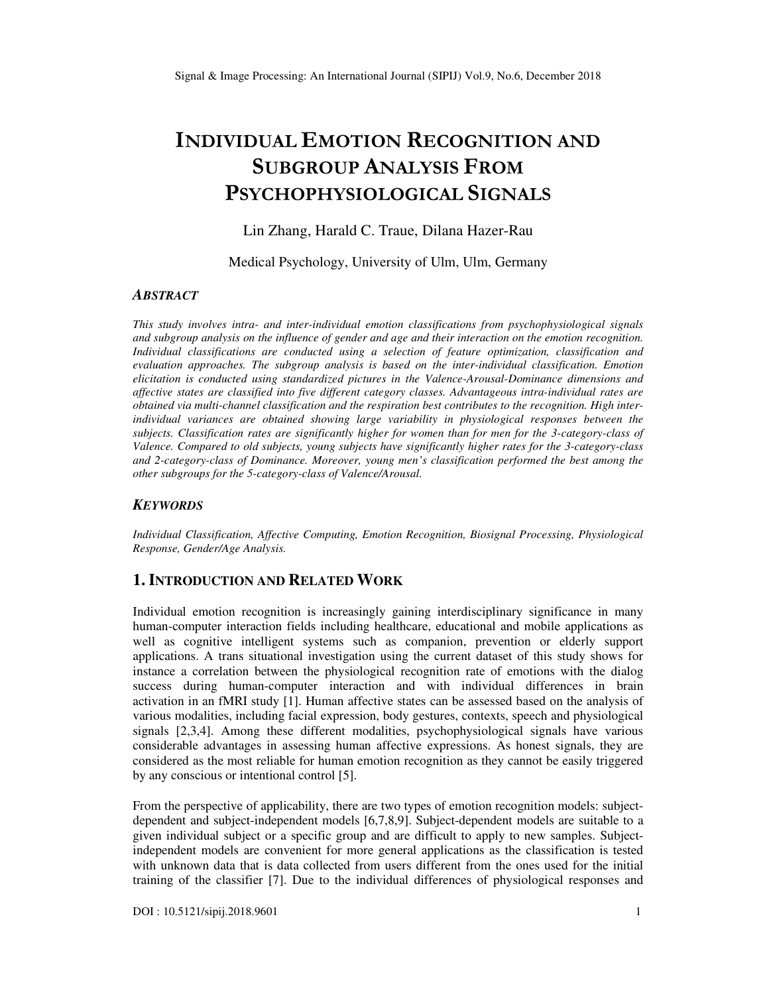# **INDIVIDUAL EMOTION RECOGNITION AND SUBGROUP ANALYSIS FROM PSYCHOPHYSIOLOGICAL SIGNALS**

Lin Zhang, Harald C. Traue, Dilana Hazer-Rau

Medical Psychology, University of Ulm, Ulm, Germany

## *ABSTRACT*

*This study involves intra- and inter-individual emotion classifications from psychophysiological signals and subgroup analysis on the influence of gender and age and their interaction on the emotion recognition. Individual classifications are conducted using a selection of feature optimization, classification and evaluation approaches. The subgroup analysis is based on the inter-individual classification. Emotion elicitation is conducted using standardized pictures in the Valence-Arousal-Dominance dimensions and affective states are classified into five different category classes. Advantageous intra-individual rates are obtained via multi-channel classification and the respiration best contributes to the recognition. High interindividual variances are obtained showing large variability in physiological responses between the subjects. Classification rates are significantly higher for women than for men for the 3-category-class of Valence. Compared to old subjects, young subjects have significantly higher rates for the 3-category-class and 2-category-class of Dominance. Moreover, young men's classification performed the best among the other subgroups for the 5-category-class of Valence/Arousal.* 

## *KEYWORDS*

*Individual Classification, Affective Computing, Emotion Recognition, Biosignal Processing, Physiological Response, Gender/Age Analysis.* 

# **1. INTRODUCTION AND RELATED WORK**

Individual emotion recognition is increasingly gaining interdisciplinary significance in many human-computer interaction fields including healthcare, educational and mobile applications as well as cognitive intelligent systems such as companion, prevention or elderly support applications. A trans situational investigation using the current dataset of this study shows for instance a correlation between the physiological recognition rate of emotions with the dialog success during human-computer interaction and with individual differences in brain activation in an fMRI study [1]. Human affective states can be assessed based on the analysis of various modalities, including facial expression, body gestures, contexts, speech and physiological signals [2,3,4]. Among these different modalities, psychophysiological signals have various considerable advantages in assessing human affective expressions. As honest signals, they are considered as the most reliable for human emotion recognition as they cannot be easily triggered by any conscious or intentional control [5].

From the perspective of applicability, there are two types of emotion recognition models: subjectdependent and subject-independent models [6,7,8,9]. Subject-dependent models are suitable to a given individual subject or a specific group and are difficult to apply to new samples. Subjectindependent models are convenient for more general applications as the classification is tested with unknown data that is data collected from users different from the ones used for the initial training of the classifier [7]. Due to the individual differences of physiological responses and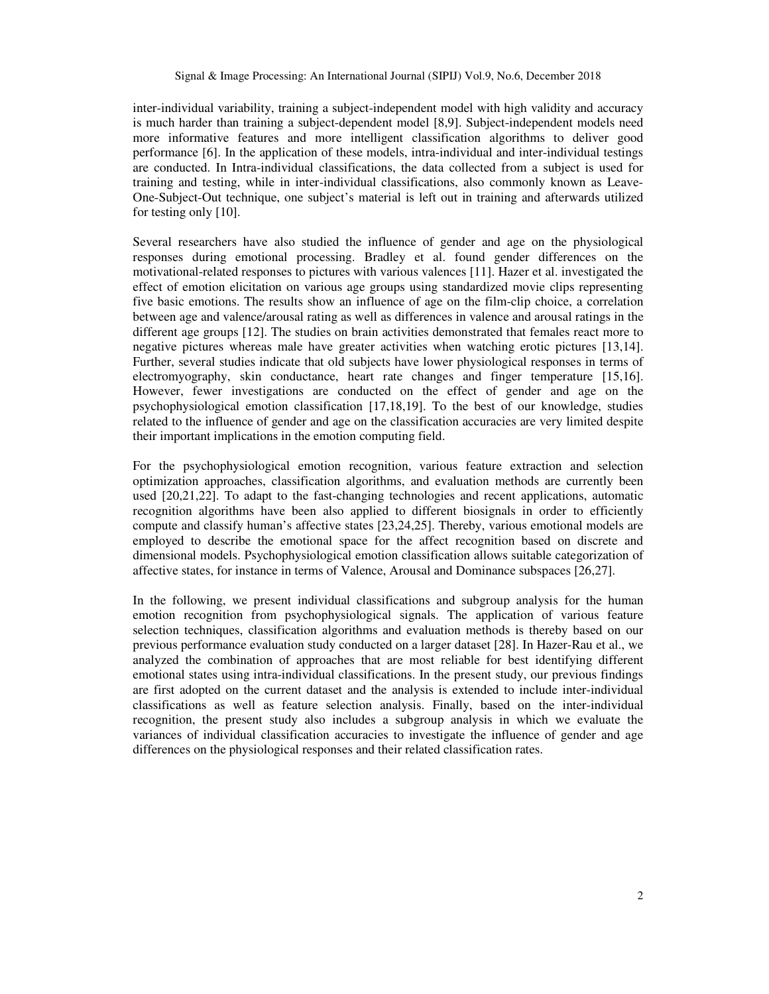inter-individual variability, training a subject-independent model with high validity and accuracy is much harder than training a subject-dependent model [8,9]. Subject-independent models need more informative features and more intelligent classification algorithms to deliver good performance [6]. In the application of these models, intra-individual and inter-individual testings are conducted. In Intra-individual classifications, the data collected from a subject is used for training and testing, while in inter-individual classifications, also commonly known as Leave-One-Subject-Out technique, one subject's material is left out in training and afterwards utilized for testing only [10].

Several researchers have also studied the influence of gender and age on the physiological responses during emotional processing. Bradley et al. found gender differences on the motivational-related responses to pictures with various valences [11]. Hazer et al. investigated the effect of emotion elicitation on various age groups using standardized movie clips representing five basic emotions. The results show an influence of age on the film-clip choice, a correlation between age and valence/arousal rating as well as differences in valence and arousal ratings in the different age groups [12]. The studies on brain activities demonstrated that females react more to negative pictures whereas male have greater activities when watching erotic pictures [13,14]. Further, several studies indicate that old subjects have lower physiological responses in terms of electromyography, skin conductance, heart rate changes and finger temperature [15,16]. However, fewer investigations are conducted on the effect of gender and age on the psychophysiological emotion classification [17,18,19]. To the best of our knowledge, studies related to the influence of gender and age on the classification accuracies are very limited despite their important implications in the emotion computing field.

For the psychophysiological emotion recognition, various feature extraction and selection optimization approaches, classification algorithms, and evaluation methods are currently been used [20,21,22]. To adapt to the fast-changing technologies and recent applications, automatic recognition algorithms have been also applied to different biosignals in order to efficiently compute and classify human's affective states [23,24,25]. Thereby, various emotional models are employed to describe the emotional space for the affect recognition based on discrete and dimensional models. Psychophysiological emotion classification allows suitable categorization of affective states, for instance in terms of Valence, Arousal and Dominance subspaces [26,27].

In the following, we present individual classifications and subgroup analysis for the human emotion recognition from psychophysiological signals. The application of various feature selection techniques, classification algorithms and evaluation methods is thereby based on our previous performance evaluation study conducted on a larger dataset [28]. In Hazer-Rau et al., we analyzed the combination of approaches that are most reliable for best identifying different emotional states using intra-individual classifications. In the present study, our previous findings are first adopted on the current dataset and the analysis is extended to include inter-individual classifications as well as feature selection analysis. Finally, based on the inter-individual recognition, the present study also includes a subgroup analysis in which we evaluate the variances of individual classification accuracies to investigate the influence of gender and age differences on the physiological responses and their related classification rates.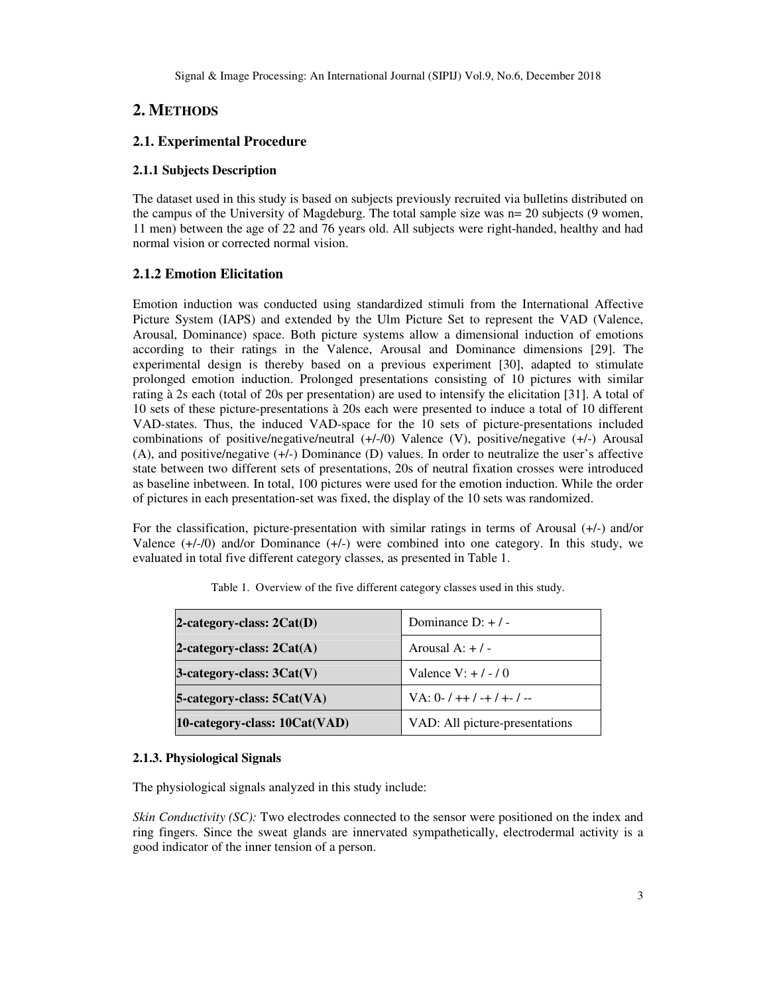# **2. METHODS**

# **2.1. Experimental Procedure**

## **2.1.1 Subjects Description**

The dataset used in this study is based on subjects previously recruited via bulletins distributed on the campus of the University of Magdeburg. The total sample size was n= 20 subjects (9 women, 11 men) between the age of 22 and 76 years old. All subjects were right-handed, healthy and had normal vision or corrected normal vision.

## **2.1.2 Emotion Elicitation**

Emotion induction was conducted using standardized stimuli from the International Affective Picture System (IAPS) and extended by the Ulm Picture Set to represent the VAD (Valence, Arousal, Dominance) space. Both picture systems allow a dimensional induction of emotions according to their ratings in the Valence, Arousal and Dominance dimensions [29]. The experimental design is thereby based on a previous experiment [30], adapted to stimulate prolonged emotion induction. Prolonged presentations consisting of 10 pictures with similar rating à 2s each (total of 20s per presentation) are used to intensify the elicitation [31]. A total of 10 sets of these picture-presentations à 20s each were presented to induce a total of 10 different VAD-states. Thus, the induced VAD-space for the 10 sets of picture-presentations included combinations of positive/negative/neutral (+/-/0) Valence (V), positive/negative (+/-) Arousal (A), and positive/negative (+/-) Dominance (D) values. In order to neutralize the user's affective state between two different sets of presentations, 20s of neutral fixation crosses were introduced as baseline inbetween. In total, 100 pictures were used for the emotion induction. While the order of pictures in each presentation-set was fixed, the display of the 10 sets was randomized.

For the classification, picture-presentation with similar ratings in terms of Arousal (+/-) and/or Valence (+/-/0) and/or Dominance (+/-) were combined into one category. In this study, we evaluated in total five different category classes, as presented in Table 1.

| 2-category-class: $2Cat(D)$    | Dominance $D: + / -$           |  |  |  |
|--------------------------------|--------------------------------|--|--|--|
| 2-category-class: $2Cat(A)$    | Arousal $A: + / -$             |  |  |  |
| $3$ -category-class: $3Cat(V)$ | Valence V: $+$ / - / 0         |  |  |  |
| 5-category-class: 5Cat(VA)     | $VA: 0-1++1-+1+-1-$            |  |  |  |
| 10-category-class: 10Cat(VAD)  | VAD: All picture-presentations |  |  |  |

|  |  |  | Table 1. Overview of the five different category classes used in this study. |  |  |
|--|--|--|------------------------------------------------------------------------------|--|--|
|--|--|--|------------------------------------------------------------------------------|--|--|

## **2.1.3. Physiological Signals**

The physiological signals analyzed in this study include:

*Skin Conductivity (SC)*: Two electrodes connected to the sensor were positioned on the index and ring fingers. Since the sweat glands are innervated sympathetically, electrodermal activity is a good indicator of the inner tension of a person.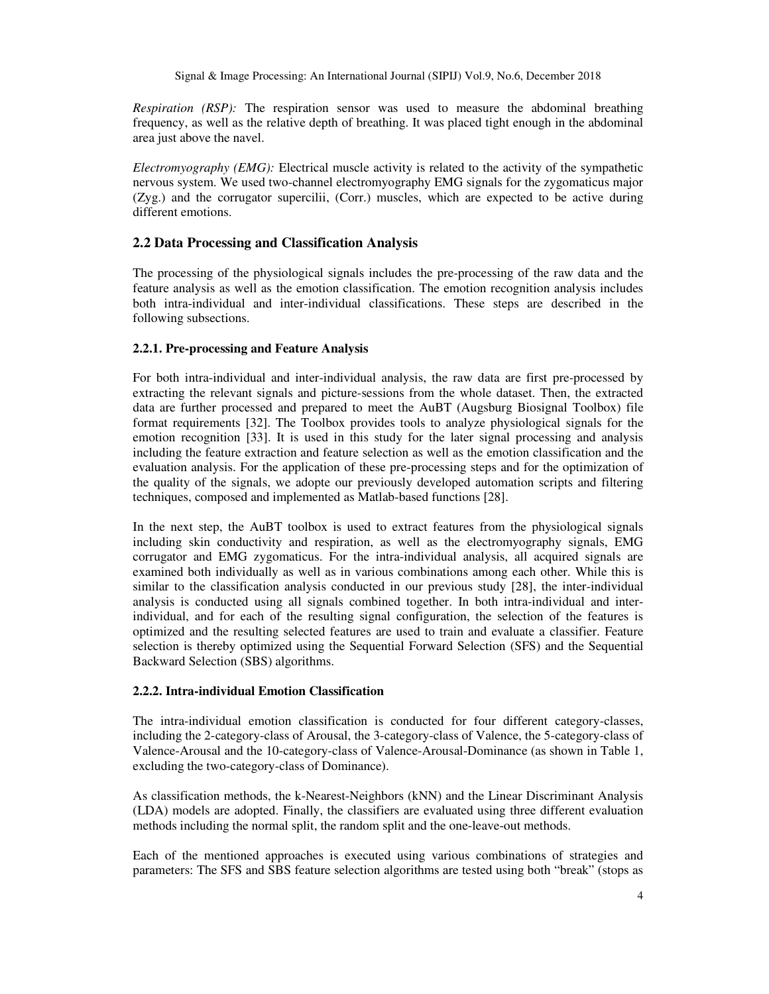*Respiration (RSP):* The respiration sensor was used to measure the abdominal breathing frequency, as well as the relative depth of breathing. It was placed tight enough in the abdominal area just above the navel.

*Electromyography (EMG):* Electrical muscle activity is related to the activity of the sympathetic nervous system. We used two-channel electromyography EMG signals for the zygomaticus major (Zyg.) and the corrugator supercilii, (Corr.) muscles, which are expected to be active during different emotions.

# **2.2 Data Processing and Classification Analysis**

The processing of the physiological signals includes the pre-processing of the raw data and the feature analysis as well as the emotion classification. The emotion recognition analysis includes both intra-individual and inter-individual classifications. These steps are described in the following subsections.

# **2.2.1. Pre-processing and Feature Analysis**

For both intra-individual and inter-individual analysis, the raw data are first pre-processed by extracting the relevant signals and picture-sessions from the whole dataset. Then, the extracted data are further processed and prepared to meet the AuBT (Augsburg Biosignal Toolbox) file format requirements [32]. The Toolbox provides tools to analyze physiological signals for the emotion recognition [33]. It is used in this study for the later signal processing and analysis including the feature extraction and feature selection as well as the emotion classification and the evaluation analysis. For the application of these pre-processing steps and for the optimization of the quality of the signals, we adopte our previously developed automation scripts and filtering techniques, composed and implemented as Matlab-based functions [28].

In the next step, the AuBT toolbox is used to extract features from the physiological signals including skin conductivity and respiration, as well as the electromyography signals, EMG corrugator and EMG zygomaticus. For the intra-individual analysis, all acquired signals are examined both individually as well as in various combinations among each other. While this is similar to the classification analysis conducted in our previous study [28], the inter-individual analysis is conducted using all signals combined together. In both intra-individual and interindividual, and for each of the resulting signal configuration, the selection of the features is optimized and the resulting selected features are used to train and evaluate a classifier. Feature selection is thereby optimized using the Sequential Forward Selection (SFS) and the Sequential Backward Selection (SBS) algorithms.

## **2.2.2. Intra-individual Emotion Classification**

The intra-individual emotion classification is conducted for four different category-classes, including the 2-category-class of Arousal, the 3-category-class of Valence, the 5-category-class of Valence-Arousal and the 10-category-class of Valence-Arousal-Dominance (as shown in Table 1, excluding the two-category-class of Dominance).

As classification methods, the k-Nearest-Neighbors (kNN) and the Linear Discriminant Analysis (LDA) models are adopted. Finally, the classifiers are evaluated using three different evaluation methods including the normal split, the random split and the one-leave-out methods.

Each of the mentioned approaches is executed using various combinations of strategies and parameters: The SFS and SBS feature selection algorithms are tested using both "break" (stops as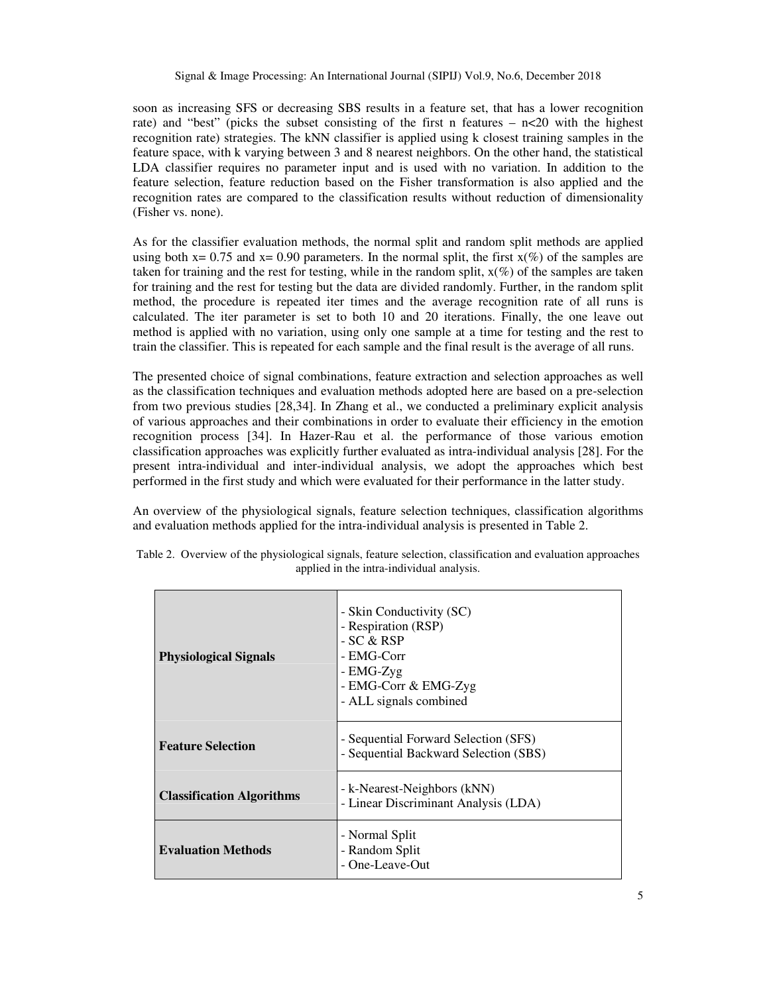soon as increasing SFS or decreasing SBS results in a feature set, that has a lower recognition rate) and "best" (picks the subset consisting of the first n features  $- n \le 20$  with the highest recognition rate) strategies. The kNN classifier is applied using k closest training samples in the feature space, with k varying between 3 and 8 nearest neighbors. On the other hand, the statistical LDA classifier requires no parameter input and is used with no variation. In addition to the feature selection, feature reduction based on the Fisher transformation is also applied and the recognition rates are compared to the classification results without reduction of dimensionality (Fisher vs. none).

As for the classifier evaluation methods, the normal split and random split methods are applied using both  $x= 0.75$  and  $x= 0.90$  parameters. In the normal split, the first  $x(\%)$  of the samples are taken for training and the rest for testing, while in the random split,  $x(\%)$  of the samples are taken for training and the rest for testing but the data are divided randomly. Further, in the random split method, the procedure is repeated iter times and the average recognition rate of all runs is calculated. The iter parameter is set to both 10 and 20 iterations. Finally, the one leave out method is applied with no variation, using only one sample at a time for testing and the rest to train the classifier. This is repeated for each sample and the final result is the average of all runs.

The presented choice of signal combinations, feature extraction and selection approaches as well as the classification techniques and evaluation methods adopted here are based on a pre-selection from two previous studies [28,34]. In Zhang et al., we conducted a preliminary explicit analysis of various approaches and their combinations in order to evaluate their efficiency in the emotion recognition process [34]. In Hazer-Rau et al. the performance of those various emotion classification approaches was explicitly further evaluated as intra-individual analysis [28]. For the present intra-individual and inter-individual analysis, we adopt the approaches which best performed in the first study and which were evaluated for their performance in the latter study.

An overview of the physiological signals, feature selection techniques, classification algorithms and evaluation methods applied for the intra-individual analysis is presented in Table 2.

| <b>Physiological Signals</b>     | - Skin Conductivity (SC)<br>- Respiration (RSP)<br>- SC & RSP<br>- EMG-Corr<br>- EMG-Zyg<br>- EMG-Corr & EMG-Zyg<br>- ALL signals combined |
|----------------------------------|--------------------------------------------------------------------------------------------------------------------------------------------|
| <b>Feature Selection</b>         | - Sequential Forward Selection (SFS)<br>- Sequential Backward Selection (SBS)                                                              |
| <b>Classification Algorithms</b> | - k-Nearest-Neighbors (kNN)<br>- Linear Discriminant Analysis (LDA)                                                                        |
| <b>Evaluation Methods</b>        | - Normal Split<br>- Random Split<br>- One-Leave-Out                                                                                        |

|  |  |  |                                           | Table 2. Overview of the physiological signals, feature selection, classification and evaluation approaches |  |  |
|--|--|--|-------------------------------------------|-------------------------------------------------------------------------------------------------------------|--|--|
|  |  |  | applied in the intra-individual analysis. |                                                                                                             |  |  |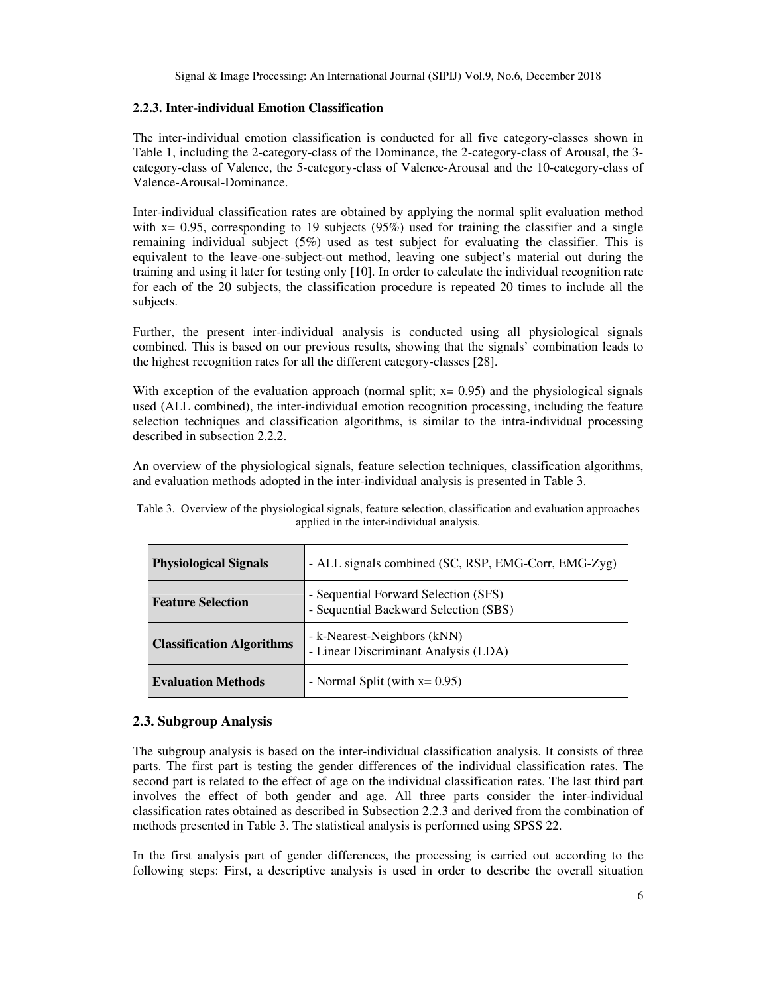## **2.2.3. Inter-individual Emotion Classification**

The inter-individual emotion classification is conducted for all five category-classes shown in Table 1, including the 2-category-class of the Dominance, the 2-category-class of Arousal, the 3 category-class of Valence, the 5-category-class of Valence-Arousal and the 10-category-class of Valence-Arousal-Dominance.

Inter-individual classification rates are obtained by applying the normal split evaluation method with  $x= 0.95$ , corresponding to 19 subjects (95%) used for training the classifier and a single remaining individual subject (5%) used as test subject for evaluating the classifier. This is equivalent to the leave-one-subject-out method, leaving one subject's material out during the training and using it later for testing only [10]. In order to calculate the individual recognition rate for each of the 20 subjects, the classification procedure is repeated 20 times to include all the subjects.

Further, the present inter-individual analysis is conducted using all physiological signals combined. This is based on our previous results, showing that the signals' combination leads to the highest recognition rates for all the different category-classes [28].

With exception of the evaluation approach (normal split;  $x= 0.95$ ) and the physiological signals used (ALL combined), the inter-individual emotion recognition processing, including the feature selection techniques and classification algorithms, is similar to the intra-individual processing described in subsection 2.2.2.

An overview of the physiological signals, feature selection techniques, classification algorithms, and evaluation methods adopted in the inter-individual analysis is presented in Table 3.

| <b>Physiological Signals</b>     | - ALL signals combined (SC, RSP, EMG-Corr, EMG-Zyg)                           |
|----------------------------------|-------------------------------------------------------------------------------|
| <b>Feature Selection</b>         | - Sequential Forward Selection (SFS)<br>- Sequential Backward Selection (SBS) |
| <b>Classification Algorithms</b> | - k-Nearest-Neighbors (kNN)<br>- Linear Discriminant Analysis (LDA)           |
| <b>Evaluation Methods</b>        | - Normal Split (with $x=0.95$ )                                               |

Table 3. Overview of the physiological signals, feature selection, classification and evaluation approaches applied in the inter-individual analysis.

# **2.3. Subgroup Analysis**

The subgroup analysis is based on the inter-individual classification analysis. It consists of three parts. The first part is testing the gender differences of the individual classification rates. The second part is related to the effect of age on the individual classification rates. The last third part involves the effect of both gender and age. All three parts consider the inter-individual classification rates obtained as described in Subsection 2.2.3 and derived from the combination of methods presented in Table 3. The statistical analysis is performed using SPSS 22.

In the first analysis part of gender differences, the processing is carried out according to the following steps: First, a descriptive analysis is used in order to describe the overall situation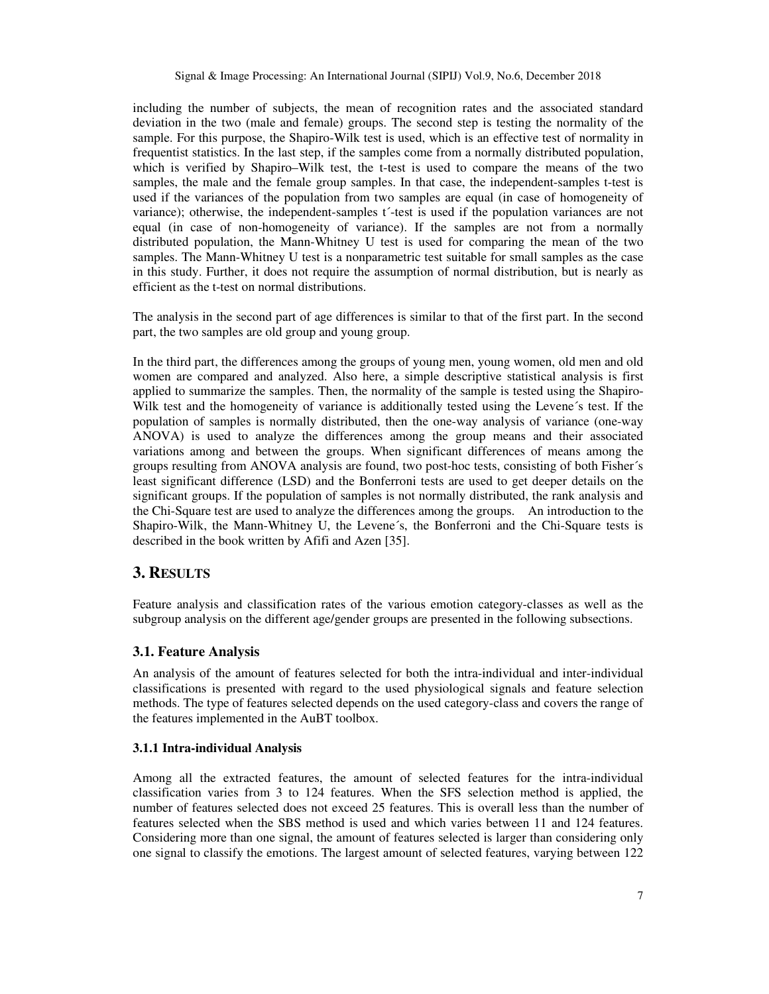including the number of subjects, the mean of recognition rates and the associated standard deviation in the two (male and female) groups. The second step is testing the normality of the sample. For this purpose, the Shapiro-Wilk test is used, which is an effective test of normality in frequentist statistics. In the last step, if the samples come from a normally distributed population, which is verified by Shapiro–Wilk test, the t-test is used to compare the means of the two samples, the male and the female group samples. In that case, the independent-samples t-test is used if the variances of the population from two samples are equal (in case of homogeneity of variance); otherwise, the independent-samples t´-test is used if the population variances are not equal (in case of non-homogeneity of variance). If the samples are not from a normally distributed population, the Mann-Whitney U test is used for comparing the mean of the two samples. The Mann-Whitney U test is a nonparametric test suitable for small samples as the case in this study. Further, it does not require the assumption of normal distribution, but is nearly as efficient as the t-test on normal distributions.

The analysis in the second part of age differences is similar to that of the first part. In the second part, the two samples are old group and young group.

In the third part, the differences among the groups of young men, young women, old men and old women are compared and analyzed. Also here, a simple descriptive statistical analysis is first applied to summarize the samples. Then, the normality of the sample is tested using the Shapiro-Wilk test and the homogeneity of variance is additionally tested using the Levene´s test. If the population of samples is normally distributed, then the one-way analysis of variance (one-way ANOVA) is used to analyze the differences among the group means and their associated variations among and between the groups. When significant differences of means among the groups resulting from ANOVA analysis are found, two post-hoc tests, consisting of both Fisher´s least significant difference (LSD) and the Bonferroni tests are used to get deeper details on the significant groups. If the population of samples is not normally distributed, the rank analysis and the Chi-Square test are used to analyze the differences among the groups. An introduction to the Shapiro-Wilk, the Mann-Whitney U, the Levene´s, the Bonferroni and the Chi-Square tests is described in the book written by Afifi and Azen [35].

# **3. RESULTS**

Feature analysis and classification rates of the various emotion category-classes as well as the subgroup analysis on the different age/gender groups are presented in the following subsections.

#### **3.1. Feature Analysis**

An analysis of the amount of features selected for both the intra-individual and inter-individual classifications is presented with regard to the used physiological signals and feature selection methods. The type of features selected depends on the used category-class and covers the range of the features implemented in the AuBT toolbox.

#### **3.1.1 Intra-individual Analysis**

Among all the extracted features, the amount of selected features for the intra-individual classification varies from 3 to 124 features. When the SFS selection method is applied, the number of features selected does not exceed 25 features. This is overall less than the number of features selected when the SBS method is used and which varies between 11 and 124 features. Considering more than one signal, the amount of features selected is larger than considering only one signal to classify the emotions. The largest amount of selected features, varying between 122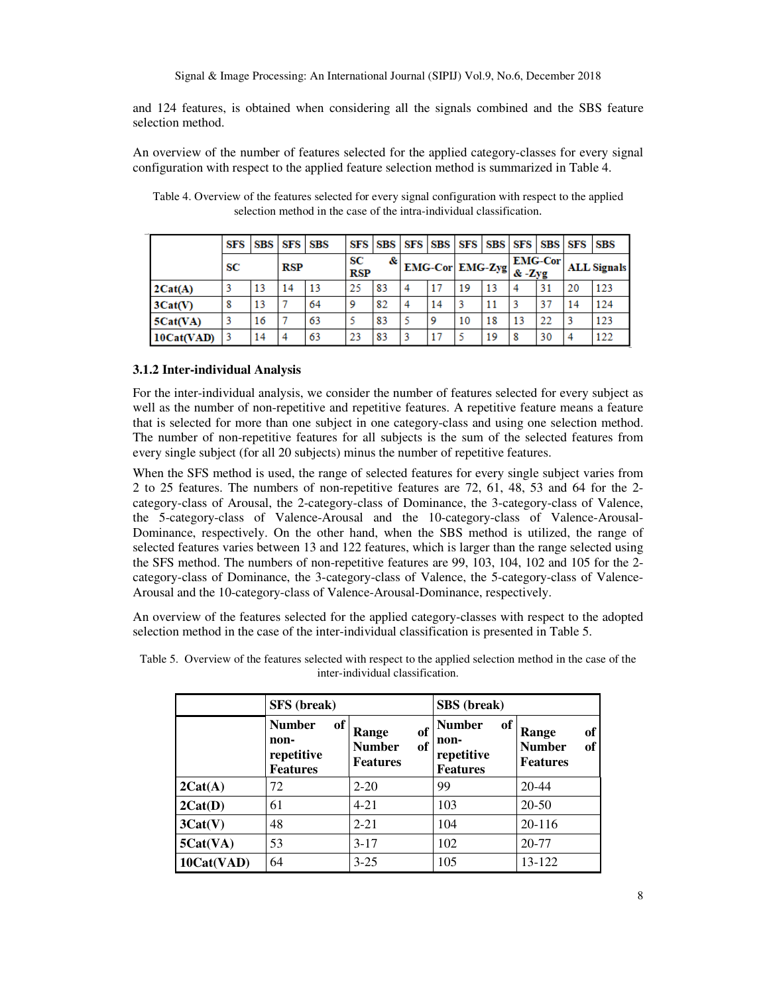and 124 features, is obtained when considering all the signals combined and the SBS feature selection method.

An overview of the number of features selected for the applied category-classes for every signal configuration with respect to the applied feature selection method is summarized in Table 4.

|            | SFS |    | SBS SFS SBS |    |                  |    |   | SFS SBS SFS SBS SFS SBS SFS SFS SBS SFS                 |    |    |    |                |    | <b>SBS</b>         |
|------------|-----|----|-------------|----|------------------|----|---|---------------------------------------------------------|----|----|----|----------------|----|--------------------|
|            | SС  |    | <b>RSP</b>  |    | SС<br><b>RSP</b> | &  |   | $ \text{EMG-Cor} $ EMG-Zyg $\frac{2}{\&{\text{K}-Zyg}}$ |    |    |    | <b>EMG-Cor</b> |    | <b>ALL Signals</b> |
| 2Cat(A)    |     | 13 | 14          | 13 | 25               | 83 | 4 | 17                                                      | 19 | 13 |    | 31             | 20 | 123                |
| 3Cat(V)    | 8   | 13 |             | 64 | 9                | 82 | 4 | 14                                                      | 3  |    |    | 37             | 14 | 124                |
| 5Cat(VA)   |     | 16 |             | 63 |                  | 83 |   | 9                                                       | 10 | 18 | 13 | 22             |    | 123                |
| 10Cat(VAD) | 3   | 14 |             | 63 | 23               | 83 | 3 |                                                         |    | 19 |    | 30             |    | 122                |

Table 4. Overview of the features selected for every signal configuration with respect to the applied selection method in the case of the intra-individual classification.

## **3.1.2 Inter-individual Analysis**

For the inter-individual analysis, we consider the number of features selected for every subject as well as the number of non-repetitive and repetitive features. A repetitive feature means a feature that is selected for more than one subject in one category-class and using one selection method. The number of non-repetitive features for all subjects is the sum of the selected features from every single subject (for all 20 subjects) minus the number of repetitive features.

When the SFS method is used, the range of selected features for every single subject varies from 2 to 25 features. The numbers of non-repetitive features are 72, 61, 48, 53 and 64 for the 2 category-class of Arousal, the 2-category-class of Dominance, the 3-category-class of Valence, the 5-category-class of Valence-Arousal and the 10-category-class of Valence-Arousal-Dominance, respectively. On the other hand, when the SBS method is utilized, the range of selected features varies between 13 and 122 features, which is larger than the range selected using the SFS method. The numbers of non-repetitive features are 99, 103, 104, 102 and 105 for the 2 category-class of Dominance, the 3-category-class of Valence, the 5-category-class of Valence-Arousal and the 10-category-class of Valence-Arousal-Dominance, respectively.

An overview of the features selected for the applied category-classes with respect to the adopted selection method in the case of the inter-individual classification is presented in Table 5.

|            | <b>SFS</b> (break)                                           |                                                       | <b>SBS</b> (break)                                           |                                                       |  |  |
|------------|--------------------------------------------------------------|-------------------------------------------------------|--------------------------------------------------------------|-------------------------------------------------------|--|--|
|            | <b>Number</b><br>of<br>non-<br>repetitive<br><b>Features</b> | of<br>Range<br>of<br><b>Number</b><br><b>Features</b> | <b>Number</b><br>of<br>non-<br>repetitive<br><b>Features</b> | of<br>Range<br><b>Number</b><br>of<br><b>Features</b> |  |  |
| 2Cat(A)    | 72                                                           | $2 - 20$                                              | 99                                                           | $20 - 44$                                             |  |  |
| 2Cat(D)    | 61                                                           | $4 - 21$                                              | 103                                                          | $20 - 50$                                             |  |  |
| 3Cat(V)    | 48                                                           | $2 - 21$                                              | 104                                                          | 20-116                                                |  |  |
| 5Cat(VA)   | 53                                                           | $3-17$                                                | 102                                                          | 20-77                                                 |  |  |
| 10Cat(VAD) | 64                                                           | $3 - 25$                                              | 105                                                          | 13-122                                                |  |  |

Table 5. Overview of the features selected with respect to the applied selection method in the case of the inter-individual classification.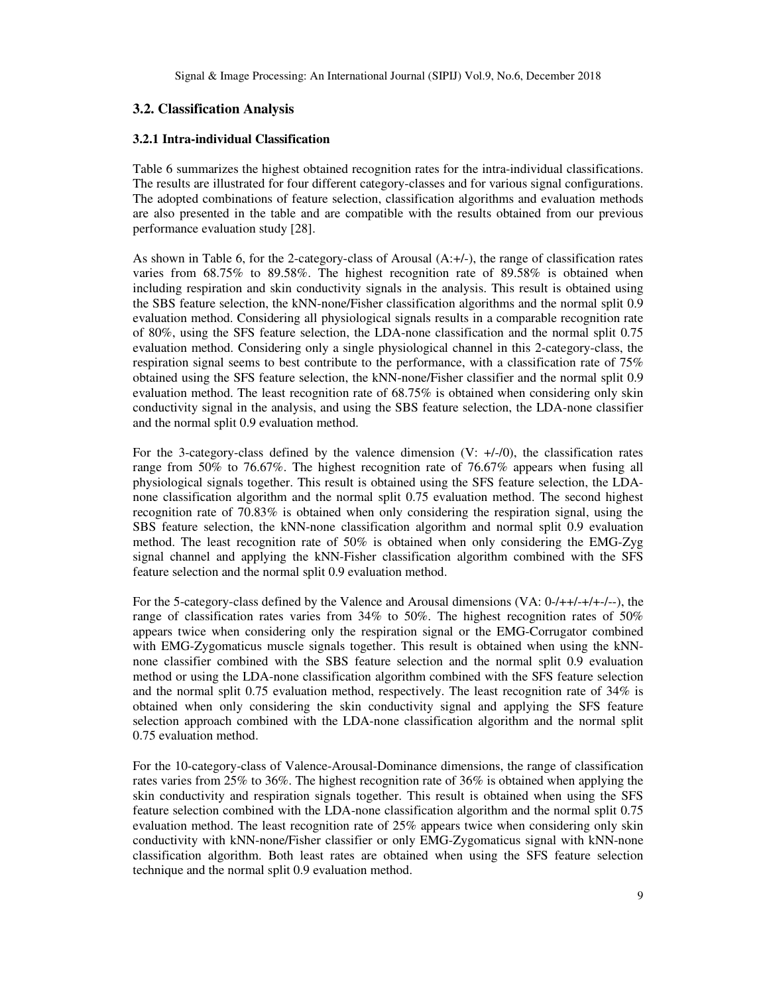## **3.2. Classification Analysis**

## **3.2.1 Intra-individual Classification**

Table 6 summarizes the highest obtained recognition rates for the intra-individual classifications. The results are illustrated for four different category-classes and for various signal configurations. The adopted combinations of feature selection, classification algorithms and evaluation methods are also presented in the table and are compatible with the results obtained from our previous performance evaluation study [28].

As shown in Table 6, for the 2-category-class of Arousal  $(A; +/-)$ , the range of classification rates varies from 68.75% to 89.58%. The highest recognition rate of 89.58% is obtained when including respiration and skin conductivity signals in the analysis. This result is obtained using the SBS feature selection, the kNN-none/Fisher classification algorithms and the normal split 0.9 evaluation method. Considering all physiological signals results in a comparable recognition rate of 80%, using the SFS feature selection, the LDA-none classification and the normal split 0.75 evaluation method. Considering only a single physiological channel in this 2-category-class, the respiration signal seems to best contribute to the performance, with a classification rate of 75% obtained using the SFS feature selection, the kNN-none/Fisher classifier and the normal split 0.9 evaluation method. The least recognition rate of 68.75% is obtained when considering only skin conductivity signal in the analysis, and using the SBS feature selection, the LDA-none classifier and the normal split 0.9 evaluation method.

For the 3-category-class defined by the valence dimension  $(V: +/-/0)$ , the classification rates range from 50% to 76.67%. The highest recognition rate of 76.67% appears when fusing all physiological signals together. This result is obtained using the SFS feature selection, the LDAnone classification algorithm and the normal split 0.75 evaluation method. The second highest recognition rate of 70.83% is obtained when only considering the respiration signal, using the SBS feature selection, the kNN-none classification algorithm and normal split 0.9 evaluation method. The least recognition rate of 50% is obtained when only considering the EMG-Zyg signal channel and applying the kNN-Fisher classification algorithm combined with the SFS feature selection and the normal split 0.9 evaluation method.

For the 5-category-class defined by the Valence and Arousal dimensions (VA: 0-/++/-+/+-/--), the range of classification rates varies from 34% to 50%. The highest recognition rates of 50% appears twice when considering only the respiration signal or the EMG-Corrugator combined with EMG-Zygomaticus muscle signals together. This result is obtained when using the kNNnone classifier combined with the SBS feature selection and the normal split 0.9 evaluation method or using the LDA-none classification algorithm combined with the SFS feature selection and the normal split 0.75 evaluation method, respectively. The least recognition rate of 34% is obtained when only considering the skin conductivity signal and applying the SFS feature selection approach combined with the LDA-none classification algorithm and the normal split 0.75 evaluation method.

For the 10-category-class of Valence-Arousal-Dominance dimensions, the range of classification rates varies from 25% to 36%. The highest recognition rate of 36% is obtained when applying the skin conductivity and respiration signals together. This result is obtained when using the SFS feature selection combined with the LDA-none classification algorithm and the normal split 0.75 evaluation method. The least recognition rate of 25% appears twice when considering only skin conductivity with kNN-none/Fisher classifier or only EMG-Zygomaticus signal with kNN-none classification algorithm. Both least rates are obtained when using the SFS feature selection technique and the normal split 0.9 evaluation method.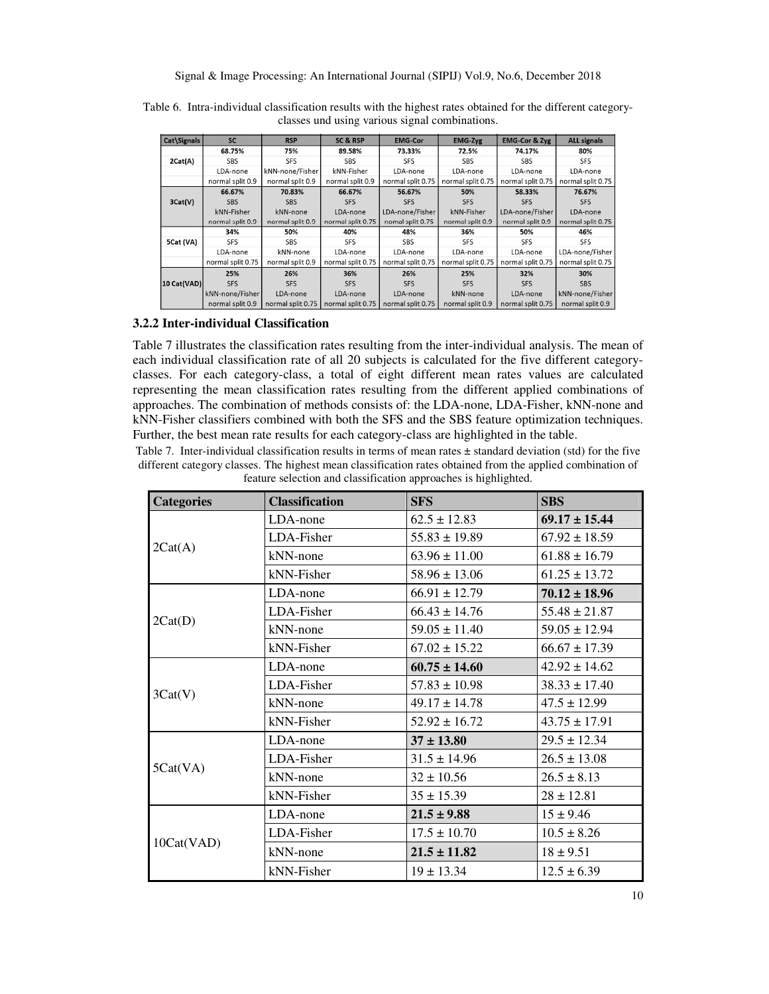| Cat\Signals | <b>SC</b>         | <b>RSP</b>        | <b>SC &amp; RSP</b> | <b>EMG-Cor</b>      | <b>EMG-Zyg</b>    | <b>EMG-Cor &amp; Zyg</b> | <b>ALL signals</b> |
|-------------|-------------------|-------------------|---------------------|---------------------|-------------------|--------------------------|--------------------|
|             | 68.75%            | 75%               | 89.58%              | 73.33%              | 72.5%             | 74.17%                   | 80%                |
| 2Cat(A)     | <b>SBS</b>        | <b>SFS</b>        | <b>SBS</b>          | <b>SFS</b>          | <b>SBS</b>        | <b>SBS</b>               | <b>SFS</b>         |
|             | LDA-none          | kNN-none/Fisher   | kNN-Fisher          | LDA-none            | LDA-none          | LDA-none                 | LDA-none           |
|             | normal split 0.9  | normal split 0.9  | normal split 0.9    | normal split 0.75   | normal split 0.75 | normal split 0.75        | normal split 0.75  |
|             | 66.67%            | 70.83%            | 66.67%              | 56.67%              | 50%               | 58.33%                   | 76.67%             |
| 3Cat(V)     | <b>SBS</b>        | <b>SBS</b>        | <b>SFS</b>          | <b>SFS</b>          | <b>SFS</b>        | <b>SFS</b>               | <b>SFS</b>         |
|             | kNN-Fisher        | kNN-none          | LDA-none            | LDA-none/Fisher     | kNN-Fisher        | LDA-none/Fisher          | LDA-none           |
|             | normal split 0.9  | normal split 0.9  | normal split 0.75   | nomal split 0.75    | normal split 0.9  | normal split 0.9         | normal split 0.75  |
|             | 34%               | 50%               | 40%                 | 48%                 | 36%               | 50%                      | 46%                |
| 5Cat (VA)   | <b>SFS</b>        | <b>SBS</b>        | <b>SFS</b>          | <b>SBS</b>          | <b>SFS</b>        | <b>SFS</b>               | <b>SFS</b>         |
|             | LDA-none          | kNN-none          | LDA-none            | LDA-none            | LDA-none          | LDA-none                 | LDA-none/Fisher    |
|             | normal split 0.75 | normal split 0.9  | normal split 0.75   | normal split 0.75   | normal split 0.75 | normal split 0.75        | normal split 0.75  |
|             | 25%               | 26%               | 36%                 | 26%                 | 25%               | 32%                      | 30%                |
| 10 Cat(VAD) | <b>SFS</b>        | <b>SFS</b>        | <b>SFS</b>          | <b>SFS</b>          | <b>SFS</b>        | <b>SFS</b>               | <b>SBS</b>         |
|             | kNN-none/Fisher   | LDA-none          | LDA-none            | LDA-none            | kNN-none          | LDA-none                 | kNN-none/Fisher    |
|             | normal split 0.9  | normal split 0.75 | normal split 0.75   | I normal split 0.75 | normal split 0.9  | normal split 0.75        | normal split 0.9   |

Table 6. Intra-individual classification results with the highest rates obtained for the different categoryclasses und using various signal combinations.

## **3.2.2 Inter-individual Classification**

Table 7 illustrates the classification rates resulting from the inter-individual analysis. The mean of each individual classification rate of all 20 subjects is calculated for the five different categoryclasses. For each category-class, a total of eight different mean rates values are calculated representing the mean classification rates resulting from the different applied combinations of approaches. The combination of methods consists of: the LDA-none, LDA-Fisher, kNN-none and kNN-Fisher classifiers combined with both the SFS and the SBS feature optimization techniques. Further, the best mean rate results for each category-class are highlighted in the table.

Table 7. Inter-individual classification results in terms of mean rates  $\pm$  standard deviation (std) for the five different category classes. The highest mean classification rates obtained from the applied combination of feature selection and classification approaches is highlighted.

| <b>Categories</b> | <b>Classification</b> | <b>SFS</b>        | <b>SBS</b>        |
|-------------------|-----------------------|-------------------|-------------------|
|                   | $LDA$ -none           | $62.5 \pm 12.83$  | $69.17 \pm 15.44$ |
|                   | LDA-Fisher            | $55.83 \pm 19.89$ | $67.92 \pm 18.59$ |
| 2Cat(A)           | kNN-none              | $63.96 \pm 11.00$ | $61.88 \pm 16.79$ |
|                   | kNN-Fisher            | $58.96 \pm 13.06$ | $61.25 \pm 13.72$ |
|                   | LDA-none              | $66.91 \pm 12.79$ | $70.12 \pm 18.96$ |
|                   | LDA-Fisher            | $66.43 \pm 14.76$ | $55.48 \pm 21.87$ |
| 2Cat(D)           | kNN-none              | $59.05 \pm 11.40$ | $59.05 \pm 12.94$ |
|                   | kNN-Fisher            | $67.02 \pm 15.22$ | $66.67 \pm 17.39$ |
|                   | LDA-none              | $60.75 \pm 14.60$ | $42.92 \pm 14.62$ |
|                   | LDA-Fisher            | $57.83 \pm 10.98$ | $38.33 \pm 17.40$ |
| 3Cat(V)           | kNN-none              | $49.17 \pm 14.78$ | $47.5 \pm 12.99$  |
|                   | kNN-Fisher            | $52.92 \pm 16.72$ | $43.75 \pm 17.91$ |
|                   | LDA-none              | $37 \pm 13.80$    | $29.5 \pm 12.34$  |
|                   | LDA-Fisher            | $31.5 \pm 14.96$  | $26.5 \pm 13.08$  |
| 5Cat(VA)          | kNN-none              | $32 \pm 10.56$    | $26.5 \pm 8.13$   |
|                   | kNN-Fisher            | $35 \pm 15.39$    | $28 \pm 12.81$    |
|                   | LDA-none              | $21.5 \pm 9.88$   | $15 \pm 9.46$     |
|                   | LDA-Fisher            | $17.5 \pm 10.70$  | $10.5 \pm 8.26$   |
| 10Cat(VAD)        | kNN-none              | $21.5 \pm 11.82$  | $18 \pm 9.51$     |
|                   | kNN-Fisher            | $19 \pm 13.34$    | $12.5 \pm 6.39$   |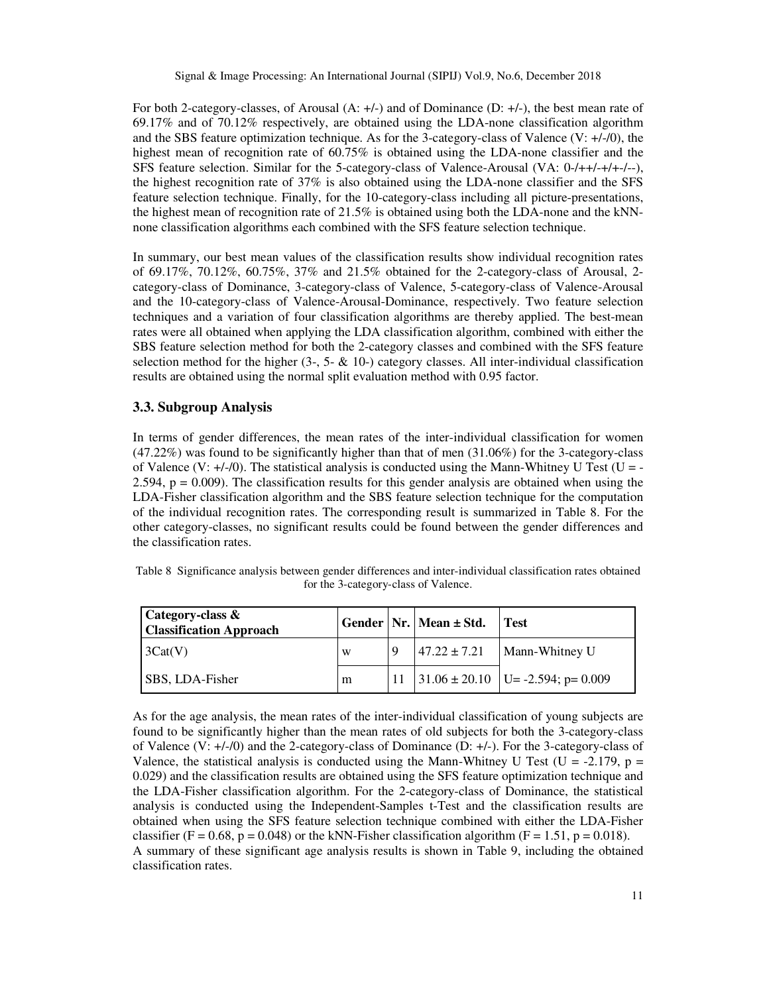For both 2-category-classes, of Arousal (A: +/-) and of Dominance (D: +/-), the best mean rate of 69.17% and of 70.12% respectively, are obtained using the LDA-none classification algorithm and the SBS feature optimization technique. As for the 3-category-class of Valence (V: +/-/0), the highest mean of recognition rate of 60.75% is obtained using the LDA-none classifier and the SFS feature selection. Similar for the 5-category-class of Valence-Arousal (VA: 0-/++/-+/+-/--), the highest recognition rate of 37% is also obtained using the LDA-none classifier and the SFS feature selection technique. Finally, for the 10-category-class including all picture-presentations, the highest mean of recognition rate of 21.5% is obtained using both the LDA-none and the kNNnone classification algorithms each combined with the SFS feature selection technique.

In summary, our best mean values of the classification results show individual recognition rates of 69.17%, 70.12%, 60.75%, 37% and 21.5% obtained for the 2-category-class of Arousal, 2 category-class of Dominance, 3-category-class of Valence, 5-category-class of Valence-Arousal and the 10-category-class of Valence-Arousal-Dominance, respectively. Two feature selection techniques and a variation of four classification algorithms are thereby applied. The best-mean rates were all obtained when applying the LDA classification algorithm, combined with either the SBS feature selection method for both the 2-category classes and combined with the SFS feature selection method for the higher  $(3, 5 - \& 10)$  category classes. All inter-individual classification results are obtained using the normal split evaluation method with 0.95 factor.

# **3.3. Subgroup Analysis**

In terms of gender differences, the mean rates of the inter-individual classification for women (47.22%) was found to be significantly higher than that of men (31.06%) for the 3-category-class of Valence (V:  $+/-/0$ ). The statistical analysis is conducted using the Mann-Whitney U Test (U = -2.594,  $p = 0.009$ ). The classification results for this gender analysis are obtained when using the LDA-Fisher classification algorithm and the SBS feature selection technique for the computation of the individual recognition rates. The corresponding result is summarized in Table 8. For the other category-classes, no significant results could be found between the gender differences and the classification rates.

| Table 8 Significance analysis between gender differences and inter-individual classification rates obtained |
|-------------------------------------------------------------------------------------------------------------|
| for the 3-category-class of Valence.                                                                        |

| Category-class &<br><b>Classification Approach</b> |   | Gender   Nr.   Mean $\pm$ Std. | Test                                       |
|----------------------------------------------------|---|--------------------------------|--------------------------------------------|
| $\vert 3Cat(V) \vert$                              | W |                                | $147.22 \pm 7.21$ Mann-Whitney U           |
| SBS, LDA-Fisher                                    | m |                                | 11   31.06 ± 20.10   U = -2.594; p = 0.009 |

As for the age analysis, the mean rates of the inter-individual classification of young subjects are found to be significantly higher than the mean rates of old subjects for both the 3-category-class of Valence (V: +/-/0) and the 2-category-class of Dominance (D: +/-). For the 3-category-class of Valence, the statistical analysis is conducted using the Mann-Whitney U Test (U = -2.179, p = 0.029) and the classification results are obtained using the SFS feature optimization technique and the LDA-Fisher classification algorithm. For the 2-category-class of Dominance, the statistical analysis is conducted using the Independent-Samples t-Test and the classification results are obtained when using the SFS feature selection technique combined with either the LDA-Fisher classifier (F = 0.68, p = 0.048) or the kNN-Fisher classification algorithm (F = 1.51, p = 0.018). A summary of these significant age analysis results is shown in Table 9, including the obtained classification rates.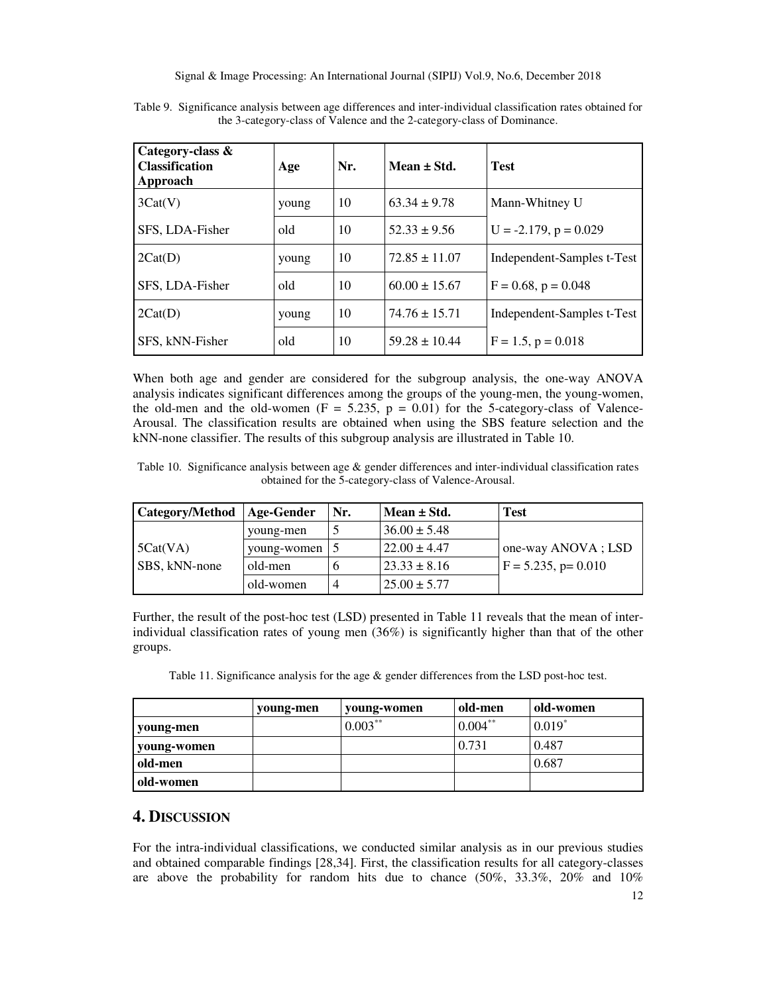| Category-class &<br><b>Classification</b><br>Approach | Age   | Nr. | Mean $\pm$ Std.   | <b>Test</b>                |
|-------------------------------------------------------|-------|-----|-------------------|----------------------------|
| 3Cat(V)                                               | young | 10  | $63.34 \pm 9.78$  | Mann-Whitney U             |
| SFS, LDA-Fisher                                       | old   | 10  | $52.33 \pm 9.56$  | $U = -2.179$ , $p = 0.029$ |
| 2Cat(D)                                               | young | 10  | $72.85 \pm 11.07$ | Independent-Samples t-Test |
| SFS, LDA-Fisher                                       | old   | 10  | $60.00 \pm 15.67$ | $F = 0.68$ , $p = 0.048$   |
| 2Cat(D)                                               | young | 10  | $74.76 \pm 15.71$ | Independent-Samples t-Test |
| SFS, kNN-Fisher                                       | old   | 10  | $59.28 \pm 10.44$ | $F = 1.5$ , $p = 0.018$    |

Table 9. Significance analysis between age differences and inter-individual classification rates obtained for the 3-category-class of Valence and the 2-category-class of Dominance.

When both age and gender are considered for the subgroup analysis, the one-way ANOVA analysis indicates significant differences among the groups of the young-men, the young-women, the old-men and the old-women  $(F = 5.235, p = 0.01)$  for the 5-category-class of Valence-Arousal. The classification results are obtained when using the SBS feature selection and the kNN-none classifier. The results of this subgroup analysis are illustrated in Table 10.

Table 10. Significance analysis between age & gender differences and inter-individual classification rates obtained for the 5-category-class of Valence-Arousal.

| Category/Method | Age-Gender  | Nr. | Mean $\pm$ Std.  | <b>Test</b>            |
|-----------------|-------------|-----|------------------|------------------------|
|                 | young-men   |     | $36.00 \pm 5.48$ |                        |
| 5Cat(VA)        | young-women |     | $22.00 \pm 4.47$ | one-way ANOVA; LSD     |
| SBS, kNN-none   | old-men     |     | $23.33 \pm 8.16$ | $F = 5.235$ , p= 0.010 |
|                 | old-women   | 4   | $25.00 \pm 5.77$ |                        |

Further, the result of the post-hoc test (LSD) presented in Table 11 reveals that the mean of interindividual classification rates of young men (36%) is significantly higher than that of the other groups.

Table 11. Significance analysis for the age & gender differences from the LSD post-hoc test.

|             | young-men | young-women | old-men    | old-women            |
|-------------|-----------|-------------|------------|----------------------|
| young-men   |           | $0.003***$  | $0.004***$ | $0.019$ <sup>*</sup> |
| young-women |           |             | 0.731      | 0.487                |
| old-men     |           |             |            | 0.687                |
| old-women   |           |             |            |                      |

# **4. DISCUSSION**

For the intra-individual classifications, we conducted similar analysis as in our previous studies and obtained comparable findings [28,34]. First, the classification results for all category-classes are above the probability for random hits due to chance  $(50\%, 33.3\%, 20\%$  and  $10\%$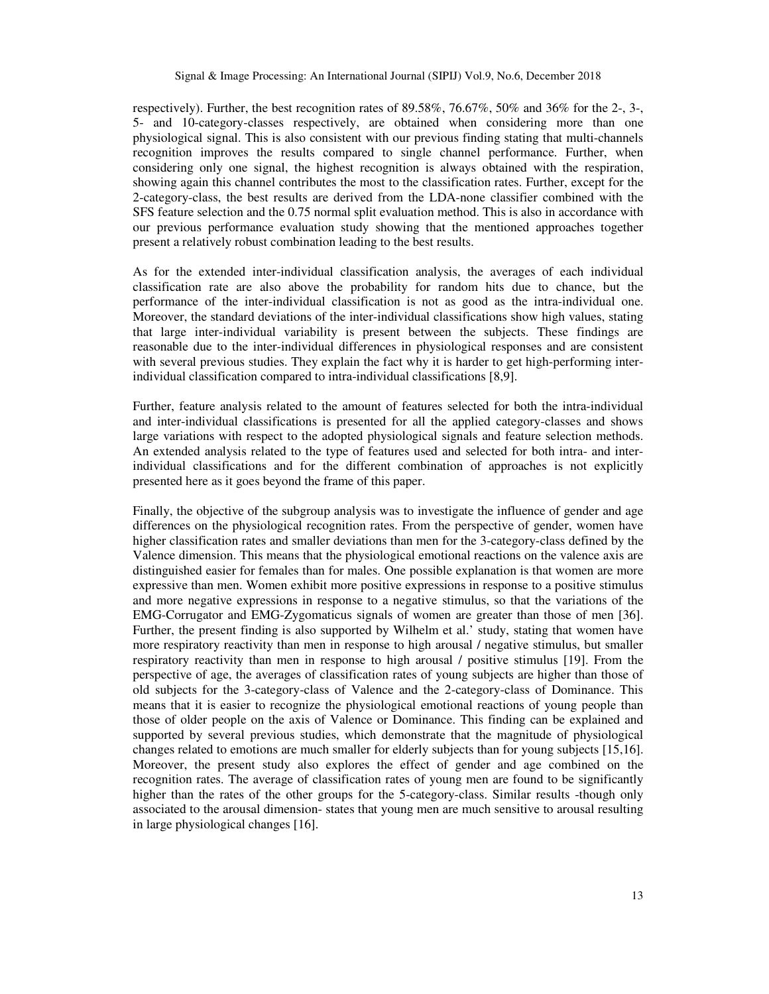respectively). Further, the best recognition rates of 89.58%, 76.67%, 50% and 36% for the 2-, 3-, 5- and 10-category-classes respectively, are obtained when considering more than one physiological signal. This is also consistent with our previous finding stating that multi-channels recognition improves the results compared to single channel performance. Further, when considering only one signal, the highest recognition is always obtained with the respiration, showing again this channel contributes the most to the classification rates. Further, except for the 2-category-class, the best results are derived from the LDA-none classifier combined with the SFS feature selection and the 0.75 normal split evaluation method. This is also in accordance with our previous performance evaluation study showing that the mentioned approaches together present a relatively robust combination leading to the best results.

As for the extended inter-individual classification analysis, the averages of each individual classification rate are also above the probability for random hits due to chance, but the performance of the inter-individual classification is not as good as the intra-individual one. Moreover, the standard deviations of the inter-individual classifications show high values, stating that large inter-individual variability is present between the subjects. These findings are reasonable due to the inter-individual differences in physiological responses and are consistent with several previous studies. They explain the fact why it is harder to get high-performing interindividual classification compared to intra-individual classifications [8,9].

Further, feature analysis related to the amount of features selected for both the intra-individual and inter-individual classifications is presented for all the applied category-classes and shows large variations with respect to the adopted physiological signals and feature selection methods. An extended analysis related to the type of features used and selected for both intra- and interindividual classifications and for the different combination of approaches is not explicitly presented here as it goes beyond the frame of this paper.

Finally, the objective of the subgroup analysis was to investigate the influence of gender and age differences on the physiological recognition rates. From the perspective of gender, women have higher classification rates and smaller deviations than men for the 3-category-class defined by the Valence dimension. This means that the physiological emotional reactions on the valence axis are distinguished easier for females than for males. One possible explanation is that women are more expressive than men. Women exhibit more positive expressions in response to a positive stimulus and more negative expressions in response to a negative stimulus, so that the variations of the EMG-Corrugator and EMG-Zygomaticus signals of women are greater than those of men [36]. Further, the present finding is also supported by Wilhelm et al.' study, stating that women have more respiratory reactivity than men in response to high arousal / negative stimulus, but smaller respiratory reactivity than men in response to high arousal / positive stimulus [19]. From the perspective of age, the averages of classification rates of young subjects are higher than those of old subjects for the 3-category-class of Valence and the 2-category-class of Dominance. This means that it is easier to recognize the physiological emotional reactions of young people than those of older people on the axis of Valence or Dominance. This finding can be explained and supported by several previous studies, which demonstrate that the magnitude of physiological changes related to emotions are much smaller for elderly subjects than for young subjects [15,16]. Moreover, the present study also explores the effect of gender and age combined on the recognition rates. The average of classification rates of young men are found to be significantly higher than the rates of the other groups for the 5-category-class. Similar results -though only associated to the arousal dimension- states that young men are much sensitive to arousal resulting in large physiological changes [16].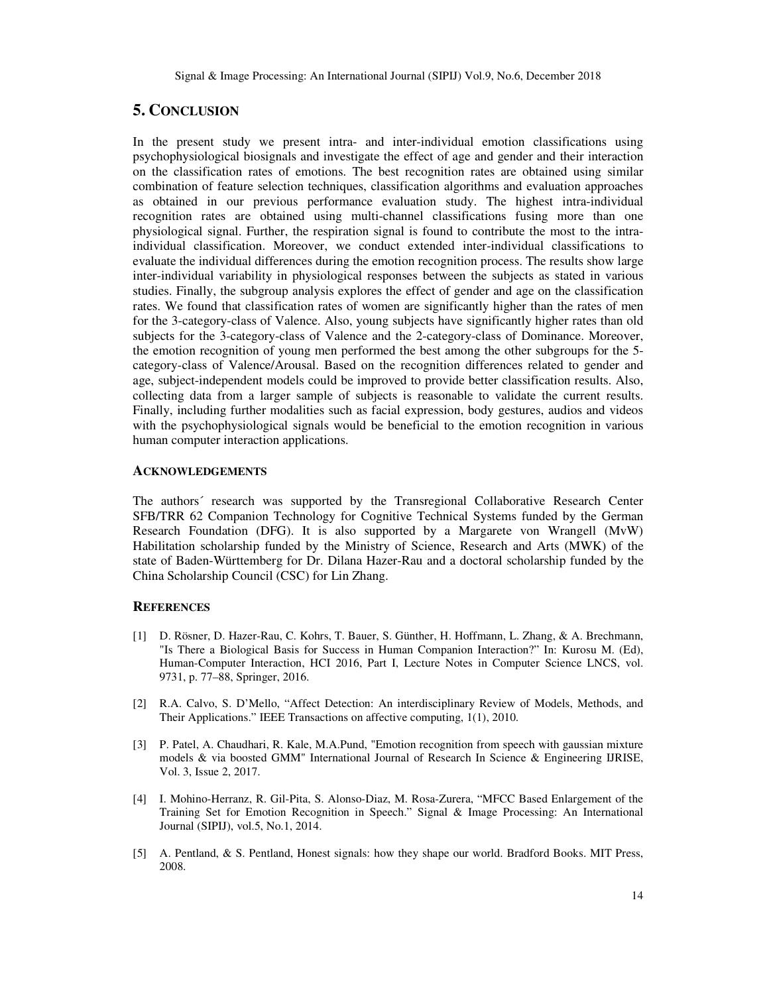# **5. CONCLUSION**

In the present study we present intra- and inter-individual emotion classifications using psychophysiological biosignals and investigate the effect of age and gender and their interaction on the classification rates of emotions. The best recognition rates are obtained using similar combination of feature selection techniques, classification algorithms and evaluation approaches as obtained in our previous performance evaluation study. The highest intra-individual recognition rates are obtained using multi-channel classifications fusing more than one physiological signal. Further, the respiration signal is found to contribute the most to the intraindividual classification. Moreover, we conduct extended inter-individual classifications to evaluate the individual differences during the emotion recognition process. The results show large inter-individual variability in physiological responses between the subjects as stated in various studies. Finally, the subgroup analysis explores the effect of gender and age on the classification rates. We found that classification rates of women are significantly higher than the rates of men for the 3-category-class of Valence. Also, young subjects have significantly higher rates than old subjects for the 3-category-class of Valence and the 2-category-class of Dominance. Moreover, the emotion recognition of young men performed the best among the other subgroups for the 5 category-class of Valence/Arousal. Based on the recognition differences related to gender and age, subject-independent models could be improved to provide better classification results. Also, collecting data from a larger sample of subjects is reasonable to validate the current results. Finally, including further modalities such as facial expression, body gestures, audios and videos with the psychophysiological signals would be beneficial to the emotion recognition in various human computer interaction applications.

## **ACKNOWLEDGEMENTS**

The authors´ research was supported by the Transregional Collaborative Research Center SFB/TRR 62 Companion Technology for Cognitive Technical Systems funded by the German Research Foundation (DFG). It is also supported by a Margarete von Wrangell (MvW) Habilitation scholarship funded by the Ministry of Science, Research and Arts (MWK) of the state of Baden-Württemberg for Dr. Dilana Hazer-Rau and a doctoral scholarship funded by the China Scholarship Council (CSC) for Lin Zhang.

## **REFERENCES**

- [1] D. Rösner, D. Hazer-Rau, C. Kohrs, T. Bauer, S. Günther, H. Hoffmann, L. Zhang, & A. Brechmann, "Is There a Biological Basis for Success in Human Companion Interaction?" In: Kurosu M. (Ed), Human-Computer Interaction, HCI 2016, Part I, Lecture Notes in Computer Science LNCS, vol. 9731, p. 77–88, Springer, 2016.
- [2] R.A. Calvo, S. D'Mello, "Affect Detection: An interdisciplinary Review of Models, Methods, and Their Applications." IEEE Transactions on affective computing, 1(1), 2010.
- [3] P. Patel, A. Chaudhari, R. Kale, M.A.Pund, "Emotion recognition from speech with gaussian mixture models & via boosted GMM" International Journal of Research In Science & Engineering IJRISE, Vol. 3, Issue 2, 2017.
- [4] I. Mohino-Herranz, R. Gil-Pita, S. Alonso-Diaz, M. Rosa-Zurera, "MFCC Based Enlargement of the Training Set for Emotion Recognition in Speech." Signal & Image Processing: An International Journal (SIPIJ), vol.5, No.1, 2014.
- [5] A. Pentland, & S. Pentland, Honest signals: how they shape our world. Bradford Books. MIT Press, 2008.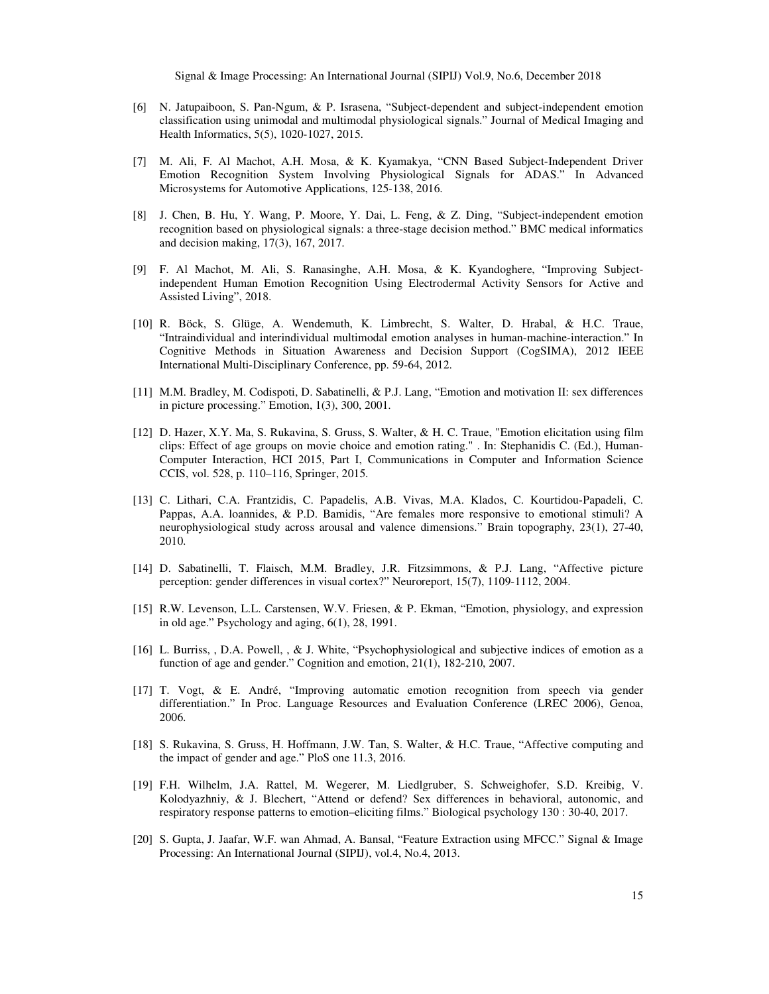- [6] N. Jatupaiboon, S. Pan-Ngum, & P. Israsena, "Subject-dependent and subject-independent emotion classification using unimodal and multimodal physiological signals." Journal of Medical Imaging and Health Informatics, 5(5), 1020-1027, 2015.
- [7] M. Ali, F. Al Machot, A.H. Mosa, & K. Kyamakya, "CNN Based Subject-Independent Driver Emotion Recognition System Involving Physiological Signals for ADAS." In Advanced Microsystems for Automotive Applications, 125-138, 2016.
- [8] J. Chen, B. Hu, Y. Wang, P. Moore, Y. Dai, L. Feng, & Z. Ding, "Subject-independent emotion recognition based on physiological signals: a three-stage decision method." BMC medical informatics and decision making, 17(3), 167, 2017.
- [9] F. Al Machot, M. Ali, S. Ranasinghe, A.H. Mosa, & K. Kyandoghere, "Improving Subjectindependent Human Emotion Recognition Using Electrodermal Activity Sensors for Active and Assisted Living", 2018.
- [10] R. Böck, S. Glüge, A. Wendemuth, K. Limbrecht, S. Walter, D. Hrabal, & H.C. Traue, "Intraindividual and interindividual multimodal emotion analyses in human-machine-interaction." In Cognitive Methods in Situation Awareness and Decision Support (CogSIMA), 2012 IEEE International Multi-Disciplinary Conference, pp. 59-64, 2012.
- [11] M.M. Bradley, M. Codispoti, D. Sabatinelli, & P.J. Lang, "Emotion and motivation II: sex differences in picture processing." Emotion, 1(3), 300, 2001.
- [12] D. Hazer, X.Y. Ma, S. Rukavina, S. Gruss, S. Walter, & H. C. Traue, "Emotion elicitation using film clips: Effect of age groups on movie choice and emotion rating." . In: Stephanidis C. (Ed.), Human-Computer Interaction, HCI 2015, Part I, Communications in Computer and Information Science CCIS, vol. 528, p. 110–116, Springer, 2015.
- [13] C. Lithari, C.A. Frantzidis, C. Papadelis, A.B. Vivas, M.A. Klados, C. Kourtidou-Papadeli, C. Pappas, A.A. loannides, & P.D. Bamidis, "Are females more responsive to emotional stimuli? A neurophysiological study across arousal and valence dimensions." Brain topography, 23(1), 27-40, 2010.
- [14] D. Sabatinelli, T. Flaisch, M.M. Bradley, J.R. Fitzsimmons, & P.J. Lang, "Affective picture perception: gender differences in visual cortex?" Neuroreport, 15(7), 1109-1112, 2004.
- [15] R.W. Levenson, L.L. Carstensen, W.V. Friesen, & P. Ekman, "Emotion, physiology, and expression in old age." Psychology and aging, 6(1), 28, 1991.
- [16] L. Burriss, , D.A. Powell, , & J. White, "Psychophysiological and subjective indices of emotion as a function of age and gender." Cognition and emotion, 21(1), 182-210, 2007.
- [17] T. Vogt, & E. André, "Improving automatic emotion recognition from speech via gender differentiation." In Proc. Language Resources and Evaluation Conference (LREC 2006), Genoa, 2006.
- [18] S. Rukavina, S. Gruss, H. Hoffmann, J.W. Tan, S. Walter, & H.C. Traue, "Affective computing and the impact of gender and age." PloS one 11.3, 2016.
- [19] F.H. Wilhelm, J.A. Rattel, M. Wegerer, M. Liedlgruber, S. Schweighofer, S.D. Kreibig, V. Kolodyazhniy, & J. Blechert, "Attend or defend? Sex differences in behavioral, autonomic, and respiratory response patterns to emotion–eliciting films." Biological psychology 130 : 30-40, 2017.
- [20] S. Gupta, J. Jaafar, W.F. wan Ahmad, A. Bansal, "Feature Extraction using MFCC." Signal & Image Processing: An International Journal (SIPIJ), vol.4, No.4, 2013.